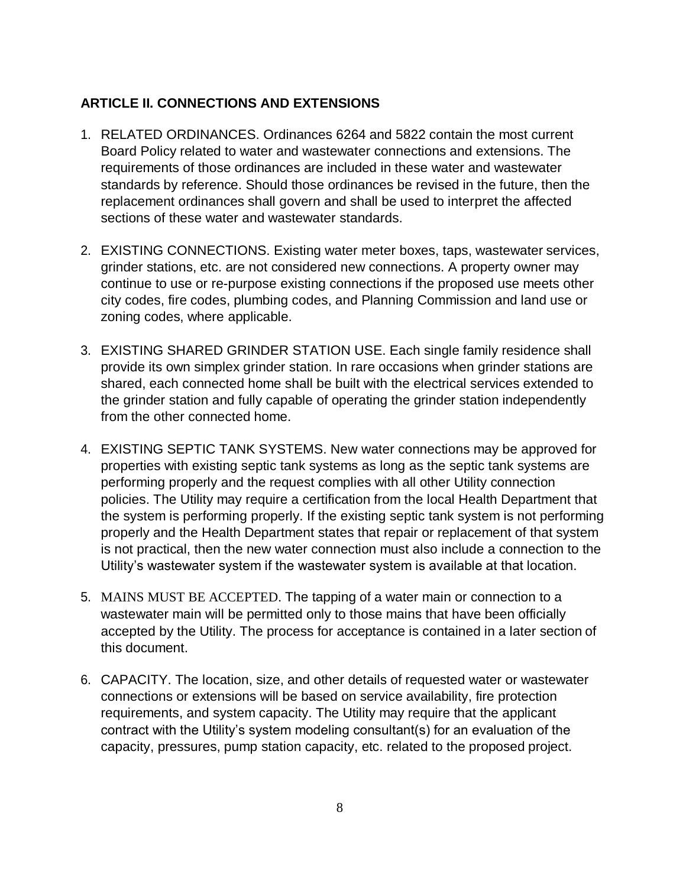## **ARTICLE II. CONNECTIONS AND EXTENSIONS**

- 1. RELATED ORDINANCES. Ordinances 6264 and 5822 contain the most current Board Policy related to water and wastewater connections and extensions. The requirements of those ordinances are included in these water and wastewater standards by reference. Should those ordinances be revised in the future, then the replacement ordinances shall govern and shall be used to interpret the affected sections of these water and wastewater standards.
- 2. EXISTING CONNECTIONS. Existing water meter boxes, taps, wastewater services, grinder stations, etc. are not considered new connections. A property owner may continue to use or re-purpose existing connections if the proposed use meets other city codes, fire codes, plumbing codes, and Planning Commission and land use or zoning codes, where applicable.
- 3. EXISTING SHARED GRINDER STATION USE. Each single family residence shall provide its own simplex grinder station. In rare occasions when grinder stations are shared, each connected home shall be built with the electrical services extended to the grinder station and fully capable of operating the grinder station independently from the other connected home.
- 4. EXISTING SEPTIC TANK SYSTEMS. New water connections may be approved for properties with existing septic tank systems as long as the septic tank systems are performing properly and the request complies with all other Utility connection policies. The Utility may require a certification from the local Health Department that the system is performing properly. If the existing septic tank system is not performing properly and the Health Department states that repair or replacement of that system is not practical, then the new water connection must also include a connection to the Utility's wastewater system if the wastewater system is available at that location.
- 5. MAINS MUST BE ACCEPTED. The tapping of a water main or connection to a wastewater main will be permitted only to those mains that have been officially accepted by the Utility. The process for acceptance is contained in a later section of this document.
- 6. CAPACITY. The location, size, and other details of requested water or wastewater connections or extensions will be based on service availability, fire protection requirements, and system capacity. The Utility may require that the applicant contract with the Utility's system modeling consultant(s) for an evaluation of the capacity, pressures, pump station capacity, etc. related to the proposed project.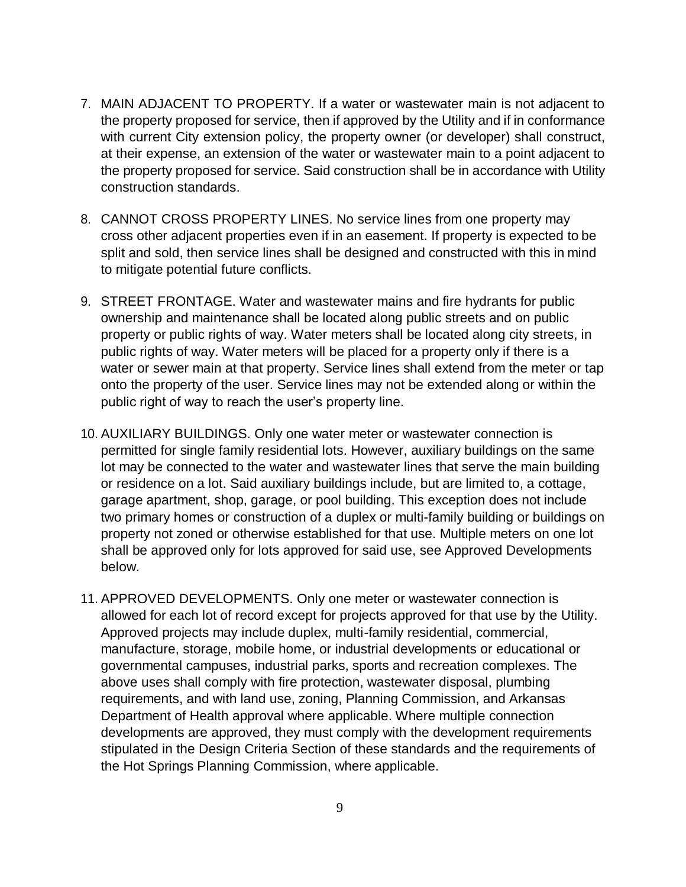- 7. MAIN ADJACENT TO PROPERTY. If a water or wastewater main is not adjacent to the property proposed for service, then if approved by the Utility and if in conformance with current City extension policy, the property owner (or developer) shall construct, at their expense, an extension of the water or wastewater main to a point adjacent to the property proposed for service. Said construction shall be in accordance with Utility construction standards.
- 8. CANNOT CROSS PROPERTY LINES. No service lines from one property may cross other adjacent properties even if in an easement. If property is expected to be split and sold, then service lines shall be designed and constructed with this in mind to mitigate potential future conflicts.
- 9. STREET FRONTAGE. Water and wastewater mains and fire hydrants for public ownership and maintenance shall be located along public streets and on public property or public rights of way. Water meters shall be located along city streets, in public rights of way. Water meters will be placed for a property only if there is a water or sewer main at that property. Service lines shall extend from the meter or tap onto the property of the user. Service lines may not be extended along or within the public right of way to reach the user's property line.
- 10. AUXILIARY BUILDINGS. Only one water meter or wastewater connection is permitted for single family residential lots. However, auxiliary buildings on the same lot may be connected to the water and wastewater lines that serve the main building or residence on a lot. Said auxiliary buildings include, but are limited to, a cottage, garage apartment, shop, garage, or pool building. This exception does not include two primary homes or construction of a duplex or multi-family building or buildings on property not zoned or otherwise established for that use. Multiple meters on one lot shall be approved only for lots approved for said use, see Approved Developments below.
- 11. APPROVED DEVELOPMENTS. Only one meter or wastewater connection is allowed for each lot of record except for projects approved for that use by the Utility. Approved projects may include duplex, multi-family residential, commercial, manufacture, storage, mobile home, or industrial developments or educational or governmental campuses, industrial parks, sports and recreation complexes. The above uses shall comply with fire protection, wastewater disposal, plumbing requirements, and with land use, zoning, Planning Commission, and Arkansas Department of Health approval where applicable. Where multiple connection developments are approved, they must comply with the development requirements stipulated in the Design Criteria Section of these standards and the requirements of the Hot Springs Planning Commission, where applicable.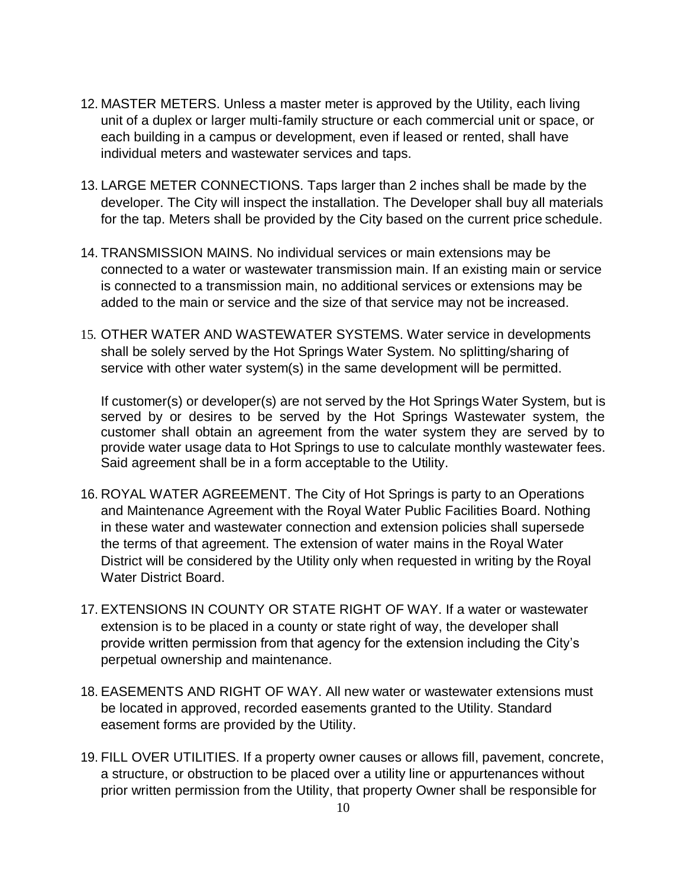- 12. MASTER METERS. Unless a master meter is approved by the Utility, each living unit of a duplex or larger multi-family structure or each commercial unit or space, or each building in a campus or development, even if leased or rented, shall have individual meters and wastewater services and taps.
- 13. LARGE METER CONNECTIONS. Taps larger than 2 inches shall be made by the developer. The City will inspect the installation. The Developer shall buy all materials for the tap. Meters shall be provided by the City based on the current price schedule.
- 14. TRANSMISSION MAINS. No individual services or main extensions may be connected to a water or wastewater transmission main. If an existing main or service is connected to a transmission main, no additional services or extensions may be added to the main or service and the size of that service may not be increased.
- 15. OTHER WATER AND WASTEWATER SYSTEMS. Water service in developments shall be solely served by the Hot Springs Water System. No splitting/sharing of service with other water system(s) in the same development will be permitted.

If customer(s) or developer(s) are not served by the Hot Springs Water System, but is served by or desires to be served by the Hot Springs Wastewater system, the customer shall obtain an agreement from the water system they are served by to provide water usage data to Hot Springs to use to calculate monthly wastewater fees. Said agreement shall be in a form acceptable to the Utility.

- 16. ROYAL WATER AGREEMENT. The City of Hot Springs is party to an Operations and Maintenance Agreement with the Royal Water Public Facilities Board. Nothing in these water and wastewater connection and extension policies shall supersede the terms of that agreement. The extension of water mains in the Royal Water District will be considered by the Utility only when requested in writing by the Royal Water District Board.
- 17. EXTENSIONS IN COUNTY OR STATE RIGHT OF WAY. If a water or wastewater extension is to be placed in a county or state right of way, the developer shall provide written permission from that agency for the extension including the City's perpetual ownership and maintenance.
- 18. EASEMENTS AND RIGHT OF WAY. All new water or wastewater extensions must be located in approved, recorded easements granted to the Utility. Standard easement forms are provided by the Utility.
- 19. FILL OVER UTILITIES. If a property owner causes or allows fill, pavement, concrete, a structure, or obstruction to be placed over a utility line or appurtenances without prior written permission from the Utility, that property Owner shall be responsible for